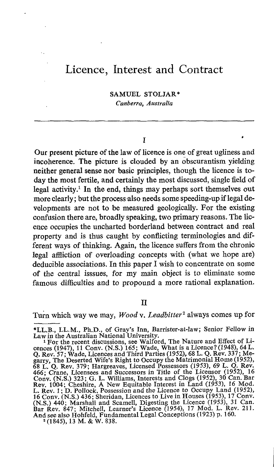# Licence, Interest and Contract

SAMUEL STOLJAR\* Canberra, Australia

T

Our present picture of the law of licence is one of great ugliness and incoherence. The picture is clouded by an obscurantism yielding neither general sense nor basic principles, though the licence is today the most fertile, and certainly the most discussed, single field of legal activity.' In the end, things may perhaps sort themselves out more clearly; but the process also needs some speeding-up if legal developments are not to be measured geologically . For the existing confusion there are, broadly speaking, two primary reasons. The licence occupies the uncharted borderland between contract and real property and is thus caught by conflicting terminologies and different ways of thinking. Again, the licence suffers from the chronic legal affliction of overloading concepts with (what we hope are) deducible associations. In this paper T wish to concentrate on some of the central isssues, for my main object is to eliminate some famous difficulties and to propound a more rational explanation.

### $\overline{\mathbf{H}}$

Turn which way we may, Wood v. Leadbitter<sup>2</sup> always comes up for

<sup>\*</sup>LL.B ., LL.M., Ph.D., of Gray's Inn, Barrister-at-law ; Senior Fellow in

Law in the Australian National University.<br>
<sup>1</sup> For the recent discussions, see Walford, The Nature and Effect of Licences (1947), 11 Conv. (N.S.) 165; Wade, What is a Licence? (1948), 64 L.<br>
Q. Rev. 57; Wade, Licences and L. Rev. 1; D. Pollock, Possession and the Licence to Occupy Land (1952), 16 Conv. (N.S.) 436; Sheridan, Licences to Live in Houses (1953), 17 Conv. (N.S.) 436; Sheridan, Licences to Live in Houses (1953), 17 Conv. (N.S.) 4 And see also Hohfeld, Fundamental Legal Conceptions (1923) p. 160. <sup>2</sup> (1845), <sup>13</sup> M. & W. 838.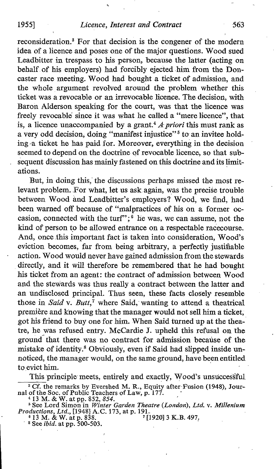reconsideration.' For that decision is the congener of the modern idea of a licence and poses one of the major questions. Wood sued Leadbitter in trespass to his person, because the latter (acting on behalf of his employers) had forcibly ejected him from the Doncaster race meeting. Wood had bought a ticket of admission, and the whole argument revolved around the problem whether this ticket was a revocable or an irrevocable licence. The decision, with Baron Alderson speaking for the court, was that the licence was freely revocable since it was what he called a "mere licence", that is, a licence unaccompanied by a grant.<sup>4</sup>  $\Lambda$  priori this must rank as a very odd decision, doing "manifest injustice"<sup>5</sup> to an invitee holding -a ticket he has paid for. Moreover, everything in the decision seemed to depend on the doctrine of revocable licence, so that subsequent discussion has mainly fastened on this doctrine and its limitations.

But, in doing this, the discussions perhaps missed the most relevant problem. For what, let us ask again, was the precise trouble between Wood and Leadbitter's employers? Wood, we find, had been warned off because of "malpractices of his on a former occasion, connected with the turf";<sup>6</sup> he was, we can assume, not the kind of person to be allowed entrance on a respectable racecourse. And, once this important fact is taken into consideration, Wood's eviction becomes, far from being arbitrary, a perfectly justifiable action. Wood would never have gained admission from the stewards directly, and it will therefore be remembered that he had bought his ticket from an agent: the contract of admission between Wood and the stewards was thus really a contract between the latter and an undisclosed principal. Thus seen, these facts closely resemble those in Said v. Butt,<sup>7</sup> where Said, wanting to attend a theatrical première and knowing that the manager would not sell him a ticket; got his friend to buy one for him. When Said turned up at the theatre, he was refused entry. McCardie J. upheld this refusal on the ground that there was no contract for admission because of the mistake of identity.<sup>8</sup> Obviously, even if Said had slipped inside unnoticed, the manager would, on the same ground, have been entitled. to evict him.

This principle meets, entirely and exactly, Wood's unsuccessful <sup>3</sup> Cf. the remarks by Evershed M. R., Equity after Fusion (1948), Journal of the Soc. of Public Teachers of Law, p. 177.<br>
<sup>4</sup> 13 M. & W. at pp. 852, 854.<br>
<sup>5</sup> See Lord Simon in Winter Garden Theatre (London), Ltd. v. Mil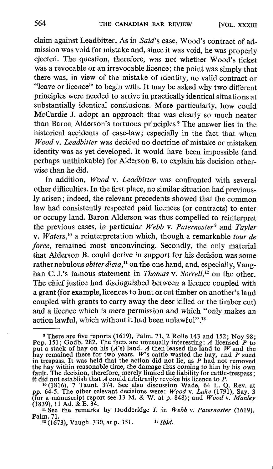claim against Leadbitter. As in Said's case, Wood's contract of admission was void for mistake and, since it was void, he was properly ejected. The question, therefore, was not whether Wood's ticket was <sup>a</sup> revocable or an irrevocable licence; the point was simply that there was, in view of the mistake of identity, no valid contract or "leave or licence" to begin with. It may be asked why two different principles were needed to arrive in practically identical situations at substantially identical conclusions. More particularly, how could McCardie J. adopt an approach that was clearly so much neater than Baron Alderson's tortuous principles? The answer lies in the historical accidents of case-law; especially in the fact that when Wood v. Leadbitter was decided no doctrine of mistake or mistaken identity was as yet developed. It would have been impossible (and perhaps unthinkable) for Alderson B. to explain his decision otherwise than he did.

In addition, Wood v. Leadbitter was confronted with several other difficulties . In the first place, no similar situation had previously arisen ; indeed, the relevant precedents showed that the common law had consistently respected paid licences (or contracts) to enter or occupy land. Baron Alderson was thus compelled to reinterpret the previous cases, in particular Webb v. Paternoster<sup>9</sup> and Tayler v. Waters,<sup>10</sup> a reinterpretation which, though a remarkable tour de force, remained most unconvincing. Secondly, the only material that Alderson B. could derive in support for his decision was some rather nebulous *obiter dicta*,<sup>11</sup> on the one hand, and, especially, Vaughan C. J.'s famous statement in Thomas v. Sorrell,<sup>12</sup> on the other. The chief justice had distinguished between a licence coupled with a grant (for example, licences to hunt orcut timber on another's land coupled with grants to carry away the deer killed or the timber cut) and a licence which is mere permission and which "only makes an action lawful, which without it had been unlawful".<sup>13</sup>

There are five reports (1619), Palm. 71, 2 Rolle 143 and 152; Noy 98;<br>151:  $C_2$ ,  $C_3$ ,  $C_4$ ,  $C_5$ ,  $C_6$ ,  $C_7$ ,  $C_7$ ,  $C_8$ ,  $C_7$ ,  $C_8$ Pop. 151; Godb. 282. The facts are unusually interesting: A licensed P to put a stack of hay on his (A's) land. A then leased the land to W and the hay remained there for two years. W's cattle wasted the hay, and P sued i in trespass. It was held that the action did not lie, as  $P$  had not removed the how within reasonable time, the damage thus coming to him by his comthe hay within reasonable time, the damage thus coming to him by his own<br>fault. The decision, therefore, merely limited the liability for cattle-trespass;<br>it did not establish that A could arbitrarily revoke his licence t

 $\frac{10}{1816}$ , 7 Taunt. 374. See also discussion Wade, 64 L. Q. Rev. at  $\frac{10}{18161}$ pp. 64-5. The other relevant decisions were: Wood v. Lake (1791), Say. 3<br>(for a manuscript report see 13 M. & W. at p. 848); and Wood v. Manley<br>(1830) 11 A.d. & F. 34

<sup>(1839), 11</sup> Ad. & E. 34.<br>
<sup>11</sup> See the remarks by Dodderidge J. in Webb v. Paternoster (1619), Palm. 71 .

 $12$  (1673), Vaugh. 330, at p. 351.  $13$  Ibid.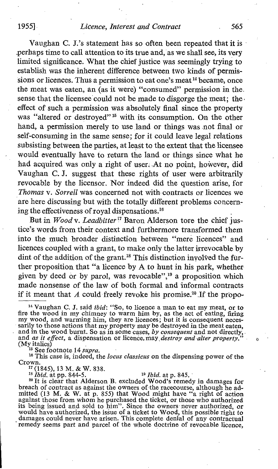## 1955] *Licence, Interest and Contract* 565

Vaughan C. J.'s statement has so often been repeated that it is perhaps time to call attention to its true and, as we shall see, its very limited significance . What the chief justice was seemingly trying to establish was the inherent difference between two kinds of permissions or licences. Thus a permission to eat one's meat<sup>14</sup> became, once the meat was eaten, an (as it were) "consumed" permission in the . sense that the licensee could not be made to disgorge the meat; the effect of such a permission was absolutely final since the property was "altered or destroyed"<sup>15</sup> with its consumption. On the other hand, a permission merely to use land or things was not final or self-consuming in the same sense ; for it could leave legal relations subsisting between the parties, at least to the extent that the licensee would eventually have to return the land or things since what he had acquired was only a right of user. At no point, however, did Vaughan C. J. suggest that these rights of user were arbitrarily revocable by the licensor. Nor indeed did the question arise, for Thomas v. Sorrell was concerned not with contracts or licences we are here discussing but with the totally different problems concerning the effectiveness of royal dispensations.<sup>16</sup>

But in Wood v. Leadbitter<sup>17</sup> Baron Alderson tore the chief justice's words from their context and furthermore transformed them into the much broader distinction between "mere licences" and licences coupled with a grant, to make only the latter irrevocable by dint of the addition of the grant.<sup>18</sup> This distinction involved the further proposition that "a licence by Ato hunt in his park, whether given by deed or by parol, was revocable",<sup>19</sup> a proposition which made nonsense of the law of both formal and informal contracts if it meant that A could freely revoke his promise.<sup>20</sup> If the propo-

<sup>15</sup> See footnote 14 supra.

<sup>16</sup> This case is, indeed, the locus classicus on the dispensing power of the Crown.

<sup>17</sup> (1845), 13 M. & W. 838.<br><sup>18</sup> *Ibid*. at pp. 844-5.

<sup>18</sup> *Ibid.* at pp. 844-5. <sup>19</sup> *Ibid.* at p. 845. <sup>20</sup> It is clear that Alderson B. excluded Wood's remedy in damages for breach of contract as against the owners of the racecourse, although he admitted (13 M. & W. at p. 855) that Wood might have "a right of action against those from whom he purchased the ticket, or those who authorized its being issued and sold to him". Since the owners never authorized, or would have authorized, the issue of <sup>a</sup> ticket to Wood, this possible right to damages could never have arisen . This complete denial of any contractual remedy seems part and parcel of the whole doctrine of revocable licence,

<sup>&</sup>lt;sup>14</sup> Vaughan C. J. said *ibid*: "So, to licence a man to eat my meat, or to fire the wood in my chimney to warm him by, as the act of eating, firing my wood, and warming him, they are licences; but it is consequent necesmy wood, and warming him, they are licences; but it is consequent necessarily to those actions that my property may be destroyed in the meat eaten, and in the wood burnt. So as in some cases, by consequent and not directly (My italics)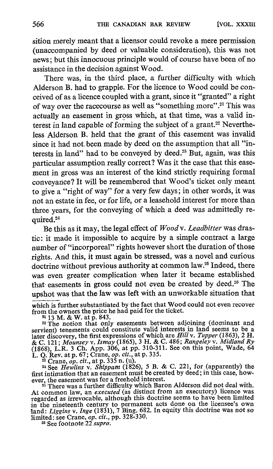sition merely meant that a licensor could revoke a mere permission (unaccompanied by deed or valuable consideration), this was not news ; but this innocuous principle would of course have been of no assistance in the decision against Wood.

There was, in the third place, a further difficulty with which Alderson B, had to grapple. For the licence to Wood could be conceived of as a licence coupled with a grant, since it "granted" a right of way over the racecourse as well as "something more".<sup>21</sup> This was actually an easement in gross which, at that time, was a valid interest in land capable of forming the subject of a grant.<sup>22</sup> Nevertheless Alderson B. held that the grant of this easement was invalid since it had not.been made by deed on the assumption that all "interests in land" had to be conveyed by deed.<sup>23</sup> But, again, was this particular assumption really correct? Was it the case that this easement in gross was an interest of the kind strictly requiring formal conveyance? It will be remembered that Wood's ticket only meant to give a "right of way" for a very few days ; in other words, it was not an estate in fee, or for life, or a leasehold interest for more than three years, for the conveying of which a deed was admittedly required.<sup>24</sup>

Be this as it may, the legal effect of Woodv. Leadbitter was drastic: it made it impossible to acquire by a simple contract a large number of "incorporeal" rights however short the duration of those rights . And this, it must again be stressed, was a novel and curious doctrine without previous authority at common law.<sup>25</sup> Indeed, there was even greater complication when later it became established that easements in gross could not even be created by deed.<sup>26</sup> The upshot was that the law was left with an unworkable situation that

which is further substantiated by the fact that Wood could not even recover from the owners the price he had paid for the ticket.

From the owners the price in and part for the text.<br>
<sup>21</sup> 13 M. & W. at p. 843.<br>
<sup>22</sup> The notion that only easements between adjoining (dominant and servient) tenements could constitute valid interests in land seems to be de C. 121; Mounsey v. Ismay (1865), 3 H. & C. 486; Rangeley v. Midland Ry (1868), L.R. 3 Ch. App. 306, at pp. 310-311. See on this point, Wade, 64

L. Q. Rev. at p. 67; Crane, op. cit., at p. 335.<br><sup>23</sup> Crane, op. cit., at p. 335 n. (u).<br><sup>24</sup> See Hewlins v. Shippam (1826), 5 B. & C. 221, for (apparently) the<br>first intimation that an easement must be created by deed; i

ever, the easement was for a freehold interest. <sup>25</sup> There was <sup>a</sup> further difficulty which Baron Alderson did not deal with. At common law, an *executed* (as distinct from an executory) licence was<br>regarded as irrevocable, although this doctrine seems to have been limited<br>man, and increase all the limited in the nineteenth century to permanent acts done on the licensee's own land: *Liggins v. Inge* (1831), 7 Bing. 682. In equity this doctrine was not so limited: see Crane,  $op. cit., pp. 328-330.$ 

<sup>26</sup> See footnote 22 supra.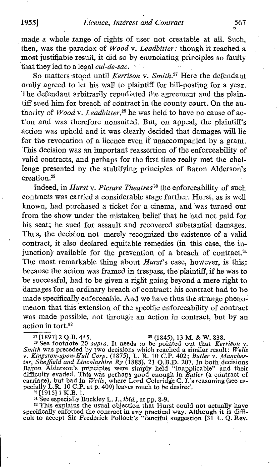made a whole range of rights of user not creatable at all. Such, then, was the paradox of Wood v. Leadbitter: though it reached a most justifiable result, it did so by enunciating principles so faulty that they led to a legal *cul-de-sac*.

So matters stood until Kerrison v. Smith.<sup>27</sup> Here the defendant orally agreed to let his wall to plaintiff for bill-posting for a year. The defendant arbitrarily repudiated the agreement and the plain tiff sued him for breach of contract in the county court. On the authority of Wood v. Leadbitter, $^{28}$  he was held to have no cause of action and was therefore nonsuited. But, on appeal, the plaintiff's action was upheld and it was clearly decided that damages will lie for the revoçation of a licence even if unaccompanied by a grant. This decision was an important reassertion of the enforceability of valid contracts, and perhaps for the first time really met the challenge presented by the stultifying principles of Baron Alderson's creation.<sup>29</sup>

Indeed, in *Hurst v. Picture Theatres*<sup>30</sup> the enforceability of such contracts was carried a considerable stage further. Hurst, as is well known, had purchased a ticket for a cinema, and was turned out from the show under the mistaken belief that he had not paid for his seat; he sued for assault and recovered substantial damages. Thus, the decision not merely recognized the existence of a valid contract, it also declared equitable remedies (in this case, the injunction) available for the prevention of a breach of contract.<sup>31</sup> The most remarkable thing about *Hurst's* case, however, is this: because the action was framed in trespass, the'plaintiff, if he was to be successful, had to be given a right going beyond a mere right to damages for an ordinary breach of contract : his contract had to be made specifically enforceable. And we have thus the strange phenomenon that this extension of the specific enforceability of contract was made possible, not through an action in contract, but by an action in tort. $32$ 

<sup>27</sup> [1897] 2 Q.B. 445. <sup>28</sup> (1845), 13 M. & W. 838.<br><sup>29</sup> See footnote 20 *supra*. It needs to be pointed out that Kerrison v.<br>*Smith* was preceded by two decisions which reached a similar result: Wells<br>v. Kingston-upon-H difficulty evaded. This was perhaps good enough in Butler (a contract of carriage), but bad in Wells, where Lord Coleridge C. J.'s reasoning (see especially L.R. 10 C.P. at p. 409) leaves much to be desired.

 $^{30}$  [1915] 1 K.B. 1.

si See especially Buckley L. J., ibid., at pp. 8-9.

<sup>32</sup> This explains the usual objection that Hurst could not actually have specifically enforced the contract in any practical way. Although it is diffi-cult to accept Sir Frederick Pollock's "fanciful suggestion [31 L. Q. Rev.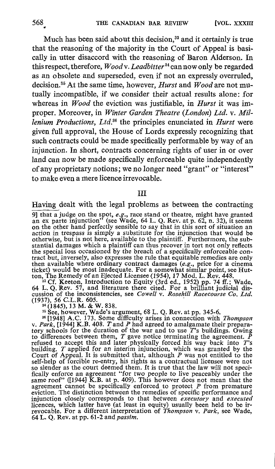Much has been said about this decision,<sup>33</sup> and it certainly is true that the reasoning of the majority in the Court of Appeal is basically in utter disaccord with the reasoning of Baron Alderson . In this respect, therefore,  $Woodv.$  Leadbitter<sup>34</sup> can now only be regarded as an obsolete and superseded, even if not an expressly overruled, decision.<sup>35</sup> At the same time, however, *Hurst* and  $Wood$  are not mutually incompatible, if we consider their actual results alone: for whereas in  $\bar{W}$ ood the eviction was justifiable, in Hurst it was improper. Moreover, in Winter Garden Theatre (London) Ltd. v. Millenium Productions, Ltd. $36$  the principles enunciated in Hurst were given full approval, the House of Lords expressly recognizing that such contracts could be made specifically performable by way of an injunction. In short, contracts concerning rights of user in or over land can now be made specifically enforceable quite independently ofany proprietary notions ; we no longer need "grant" or "interest" to make even a mere licence irrevocable.

## III

Having dealt with the legal problems as between the contracting

9] that a judge on the spot, e.g., race stand or theatre, might have granted<br>an ex parte injunction" (see Wade, 64 L. Q. Rev. at p. 62, n. 32), it seems<br>an ex parte injunction" (see Wade, 64 L. Q. Rev. at in this on the other hand perfectly sensible to say that in this sort of situation an action in trespass is simply a substitute for the injunction that would be otherwise, but is not here, available to the plaintiff. Furthermore, the sub-<br>stantial damages which a plaintiff can thus recover in tort not only reflects<br>the special loss occasioned by the breach of a specifically enforc

tract but, inversely, also expresses the rule that equitable remedies are only<br>then available where ordinary contract damages  $(e.g.,$  price for a cinema<br>ticket) would be most inadequate. For a somewhat similar point, see Hu

<sup>35</sup> See, however, Wade's argument, 68 L. Q. Rev. at pp. 345-6.<br><sup>36</sup> [1948] A.C. 173. Some difficulty arises in connection with *Thompson*<br>25 (1944) V. B. 408, T. and P had agreed to amelgamete their properv. Park, [1944] K.B. 408. T and P had agreed to amalgamate their prepara-<br>tory schools for the duration of the war and to use  $T$ 's buildings. Owing<br>to differences between them, T gave notice terminating the agreement. P<br> self-help of forcible re-entry, his rights as a contractual licensee were not so slender as the court deemed them. It is true that the law will not specifically enforce an agreement "for two people to live peaceably under the same roof" ([1944] K.B. at p. 409). This however does not mean that the agreement cannot be specifically enforced to protect  $P$  from premature evic injunction closely corresponds to that between *executory* and *executed*<br>It was a shirt latter have (at least in equita) would have held to be in licences, which latter have (at least in equity) usually been held to be irrevocable. For a different interpretation of *Thompson v. Park*, see Wade, 64 L. O. Rev. at pp.  $61-2$  and *passim*.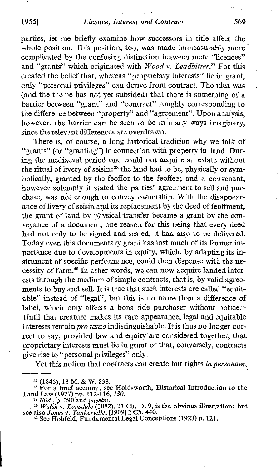parties, let me briefly examine how successors in title affect the' whole position. This position, too, was made immeasurably more complicated by the confusing distinction between mere "licences" and "grants" which originated with Wood v. Leadbitter.<sup>37</sup> For this created the belief that, whereas "proprietary interests" lie in grant, only "personal privileges" can derive from contract. The idea was (and the theme has not yet subsided) that there is something of a barrier between "grant" and "contract" roughly corresponding to the difference between "property" and "agreement". Upon analysis, however, the barrier can be seen to be in many ways imaginary, since the relevant differences are overdrawn.

There is, of course, a long historical tradition why we talk of "grants" (or "granting") in connection with property in land. During the mediaeval period one could not acquire an estate without the ritual of livery of seisin:<sup>38</sup> the land had to be, physically or symbolically, granted by the feoffor to the feoffee; and a convenant, however solemnly it stated the parties' agreement to sell and purchase, was not enough to convey ownership. With the disappearance of livery of seisin and its replacement by the deed of feoffment, the grant of land by physical transfer became a grant by the conveyance of a document, one reason for this being that every deed had not only to be signed and sealed, it had also to be delivered. Today even this documentary grant has lost much of its former importance due to developments in equity, which, by adapting its instrument of specific performance, could then dispense with the necessity of form.<sup>40</sup> In other words, we can now acquire landed interests through the medium of simple contracts, that is, by valid agreements to buy and sell. It is true that such interests are called "equitable" instead of "legal", but this is no more than a difference of label, which only affects a bona fide purchaser without notice.<sup>41</sup> Until that creature makes its rare appearance, legal and equitable interests remain pro tanto indistinguishable. It is thus no longer correct to say, provided law and equity' are considered together, that proprietary interests must lie in grant or that, conversely, contracts give rise to "personal privileges" only.

Yet this notion that contracts can create but rights in personam,

<sup>&</sup>lt;sup>37</sup> (1845), 13 M. & W. 838.<br>
<sup>38</sup> For a brief account, see Holdsworth, Historical Introduction to the<br>
Land Law (1927) pp. 112-116, 130.<br>
<sup>39</sup> Ibid., p. 290 and *passim.*<br>
<sup>40</sup> Walsh v. Lonsdale (1882), 21 Ch. D. 9, is t

<sup>&</sup>lt;sup>41</sup> See Hohfeld, Fundamental Legal Conceptions (1923) p. 121.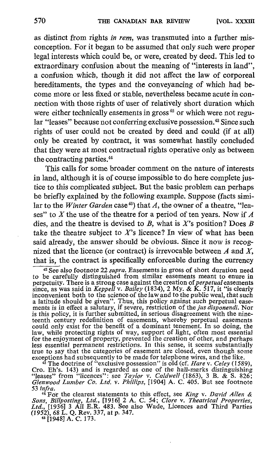as distinct from rights in rem, was transmuted into a further misconception . For it began to be assumed that only such were proper legal interests which could be, or were, created by deed. This led to extraordinary confusion about the meaning of "interests in land", a confusion which, though it did not affect the law of corporeal hereditaments, the types and the conveyancing of which had become more or less fixed or stable, nevertheless became acute in connection with those rights of user of relatively short duration which were either technically easements in gross<sup> $42$ </sup> or which were not regular "leases" because not conferring exclusive possession.<sup>48</sup> Since such rights of user could not be created by deed and could (if at all) only be created by contract, it was somewhat hastily concluded that they were at most contractual rights operative only as between the contracting parties.<sup>44</sup>

This calls for some broader comment on the nature of interests in land, although it is of course impossible to do here complete justice to this complicated subject. But the basic problem can perhaps be briefly explained by the following example, Suppose (facts similar to the *Winter Garden* case<sup>45</sup>) that A, the owner of a theatre, "leases" to X the use of the theatre for a period of ten years. Now if  $\vec{A}$ dies, and the theatre is devised to B, what is  $X$ 's position? Does B take the theatre subject to  $X$ 's licence? In view of what has been said already, the answer should be obvious. Since it now is recognized that the licence (or contract) is irrevocable between  $A$  and  $X$ , that is, the contract is specifically enforceable during the currency

<sup>42</sup> See also footnote 22 *supra*. Easements in gross of short duration need to be carefully distinguished from similar easements meant to enure in perpetuity. There is a strong case against the creation of *perpetual* easements<br>since, as was said in *Keppell* v. *Bailey* (1834), 2 My. & K. 517, it "is clearly<br>inconvenient both to the science of the law and to the pu a latitude should be given". Thus, this policy against such perpetual ease-<br>ments is in effect a salutary, if severe, restriction of the *jus disponendi*. Nor<br>is this policy, it is further submitted, in serious disagreemen teenth century redefinition of easements, whereby perpetual easements could only exist for the benefit of a dominant tenement. In so doing, the law, while protecting rights of way, support of light, often most essential<br>for the enjoyment of property, prevented the creation of other, and perhaps<br>less essential permanent restrictions. In this sense, it scems substan true to say that the categories of easement are closed, even though some exceptions had subsequently to be made for telephone wires, and the like.

<sup>43</sup> The doctrine of "exclusive possession" is old (cf. *Hare v. Celey* (1589),  $F_{\rm F2}$ , 142), and is recorded as an of the hall marke distinguishing Cro. Eh's. 143) and is regarded as one of the hall-marks distinguishing<br>
"leases" from "licences": see Taylor v. Caldwell (1863), 3 B. & S. 826;<br>
Glenwood Lumber Co. Ltd. v. Phillips, [1904] A. C. 405. But see footnote

53 infra.<br>
<sup>44</sup> For the clearest statements to this effect, see King v. David Allen &<br>
Sons, Billposting, Ltd., [1916] 2 A. C. 54; Clore v. Theatrical Properties,<br>
Ltd., H0261 2 All E B. 492, See also Wade, Liennese and Th Ltd., [1936] 3 All E.R. 483. See also Wade, Licences and Third Parties<br>(1952), 68 L. Q. Rev. 337, at p. 347.<br><sup>45</sup> [1948] A. C. 173.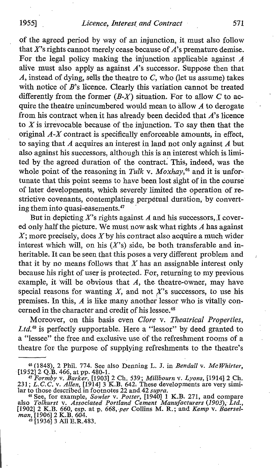### 1955] *Licence, Interest and Contract* 571

of the agreed period by way of an injunction, it must also follow that  $X$ 's rights cannot merely cease because of  $A$ 's premature demise. For the legal policy making the injunction applicable against  $A$ alive must also apply as against  $A$ 's successor. Suppose then that  $A$ , instead of dying, sells the theatre to  $C$ , who (let us assume) takes with notice of  $B$ 's licence. Clearly this variation cannot be treated differently from the former  $(B-X)$  situation. For to allow C to acquire the theatre unincumbered would mean to allow  $A$  to derogate from his contract when it has already been decided that  $A$ 's licence to  $X$  is irrevocable because of the injunction. To say then that the original  $A - X$  contract is specifically enforceable amounts, in effect, to saying that A acquires an interest in land not only against A but also against his successors, although this is an interest which is limited by the agreed duration of the contract. This, indeed, was the whole point of the reasoning in Tulk v. Moxhay,<sup>46</sup> and it is unfortunate that this point seems to have been lost sight of in the course of latex developments, which severely limited the operation of restrictive covenants, contemplating perpetual duration, by converting them into quasi-easements.<sup>47</sup>

But in depicting  $X$ 's rights against  $A$  and his successors, I covered only, half the picture. We must now ask what rights  $A$  has against  $X$ ; more precisely, does  $X$  by his contract also acquire a much wider interest which will, on his  $(X's)$  side, be both transferable and inheritable. It can be seen that this poses a very different problem and that it by no means follows that  $X$  has an assignable interest only because his right of user is protected. For, returning to my previous example, it will be obvious that  $A$ , the theatre-owner, may have special reasons for wanting  $X$ , and not  $X$ 's successors, to use his premises. In this,  $\vec{A}$  is like many another lessor who is vitally concerned in the character and credit of his lessee.<sup>48</sup>

Moreover, on this basis even Clore v. Theatrical Properties, Ltd.<sup>49</sup> is perfectly supportable. Here a "lessor" by deed granted to a "lessee" the free and exclusive use of the refreshment rooms of a theatre for the purpose of supplying refreshments to the theatre's

<sup>&</sup>lt;sup>46</sup> (1848), 2 Phil. 774. See also Denning L. J. in *Bendall v. McWhirter*, [1952] 2 Q.B. 466, at pp. 480-1.<br><sup>47</sup> Formby v. *Barker*, [1903] 2 Ch. 539; *Millbourn v. Lyons*, [1914] 2 Ch.<br>231; *L.C.C. v. Allen*, [1914] 3 K

<sup>&</sup>lt;sup>48</sup> See, for example, *Sowler v. Potter*, [1940] 1 K.B. 271, and compare also *Tolhurst v. Associated Portland Cement Manufacturers* (1903), Ltd., [1902] 2 K.B. 660, esp. at p. 668, per Collins M. R.; and *Kemp v. Baersel* man, [1906] 2 K.B. 604.<br><sup>49</sup> [1936] 3 All E.R.483.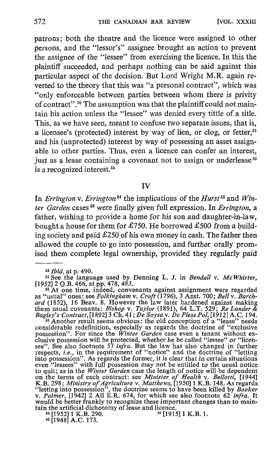patrons; both the theatre and the licence were assigned to other persons, and the "lessor's" assignee brought an action to prevent the assignee of the "lessee" from exercising the licence. In this the plaintiff succeeded, and perhaps nothing can be said against this particular aspect of the decision. But Lord Wright M.R. again reverted to the theory that this was "a personal contract", which was "only enforceable between parties between whom there is privity of contract".`° The assumption was that the plaintiff could not maintain his action unless the "lessee" was denied every tittle of a title. This, as we have seen, meant to confuse two separate issues, that is, a licensee's (protected) interest by way of lien, or clog, or fetter,  $51$ and his (unprotected) interest by way of possessing an asset assignable to other parties. Thus, even a licence can confer an interest, just as a lease containing a covenant not to assign or underlease<sup>52</sup> is a recognized interest.<sup>53</sup>

IV

In Errington v. Errington<sup>54</sup> the implications of the Hurst<sup>55</sup> and Winter Garden cases  $56$  were finally given full expression. In Errington, a father, wishing to provide a home for his son and daughter-in-law, bought a house for them for £750. He borrowed £500 from a building society and paid  $£250$  of his own money in cash. The father then allowed the couple to go into possession, and further orally promised them complete legal ownership, provided they regularly paid

<sup>51</sup> See the language used by Denning L. J. in *Bendall v. McWhirter*,  $[1952]$  2 Q.B. 466, at pp. 478, 483.

<sup>52</sup> At one time, indeed, convenants against assignment were regarded<br>as "usual" ones: see Folkingham v. Croft (1796), 3 Anst. 700; Bell v. Barch-<br>ard (1852), 16 Beav. 8. However the law later hardened against making<br>them

considerable redefinition, especially as regards the doctrine of "exclusive<br>possession". For since the *Winter Garden* case even a tenant without ex-<br>clusive possession will be protected, whether he be called "lessee" or " see". See also footnote 57 *infra*. But the law has also changed in further respects, *i.e.*, in the requirement of "notice" and the doctrine of "letting into possession". As regards the former, it is clear that in certain situations<br>even "lessees" with full possession may not be entitled to the usual notice<br>to quit; as in the Winter Garden case the length of notice will b would be better frankly to recognize these important changes than to main-

tain the artificial dichotomy of lease and licence.<br> $54$  [1952] 1 K.B. 290.  $55$  [1915] 1 K.B. 1. <sup>54</sup> [1952] 1 K.B. 290. <sup>55</sup> [1915] 1 K.B. 1.<br><sup>56</sup> [1948] A.C. 173.

<sup>50</sup> Ibid. at p. 490.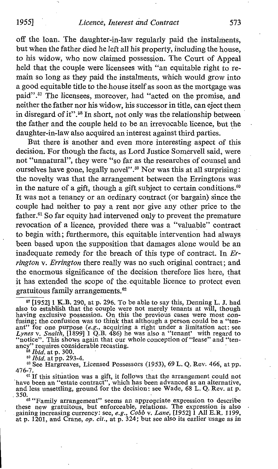off the loan. The daughter-in-law regularly paid the instalments, but when the father died he left all his property, including the house, to his widow, who now claimed possession. The Court of Appeal held that the couple were licensees with "an equitable right to remain so long as they paid the instalments, which would grow into a good equitable title to the house itself as soon as the mortgage was paid".<sup>57</sup> The licensees, moreover, had "acted on the promise, and neither the father nor his widow, his successor in title, can eject them in disregard of it".5s In short, not only was the relationship between the father and the couple held to be an irrevocable licence, but the daughter-in-law also acquired an interest against third parties.

But there is another and even more interesting aspect of this decision. For though the facts, as Lord Justice Somervell said, were not "unnatural", they were "so far as the researches of counsel and ourselves have gone, legally novel".<sup>59</sup> Nor was this at all surprising: the novelty was that the arrangement between the Erringtons was in the nature of a gift, though a gift subject to certain conditions.<sup>60</sup> It was not a tenancy or an ordinary contract (or bargain) since the couple had neither to pay a rent nor give any other price to the father.<sup>61</sup> So far equity had intervened only to prevent the premature revocation of a licence, provided there was a "valuable" contract to begin with; furthermore, this equitable intervention had always been based upon the supposition that damages alone would be an inadequate remedy for the breach of this type of contract. In Errington v. Errington there really was no such original contract; and the enormous significance of the decision therefore lies here, that it has extended the scope of the. equitable licence to protect even gratuitous family arrangements.<sup>62</sup>

.350. 1s "Family arrangement" seems an appropriate expression to describe these new gratuitous, but enforceable, relations. The expression is also<br>gaining increasing currency: see, e.g., Cobb v. Lane, [1952] I All E.R. 1199,<br>at p. 1201, and Crane, op. cit., at p. 324; but see also its earlier u

<sup>s</sup>' [195211 K.B. 290, at p. <sup>296</sup> . To be able to say this, Denning L. J. had also to establish that the couple were not merely tenants at will, though<br>having exclusive possession. On this the previous cases were most con-<br>fusing; the confusion was to think that although a person could be a "ten-<br>a ancy" requires considerable recasting.

 $\hat{15}$  *is Ibid.* at p. 300.

<sup>&</sup>lt;sup>59</sup> *Ibid.* at pp. 293-4.

<sup>&</sup>lt;sup>60</sup> See Hargreaves, Licensed Possessors (1953), 69 L. Q. Rev. 466, at pp. 476-7.

<sup>&</sup>lt;sup>61</sup> If this situation was a gift, it follows that the arrangement could not have been an "estate contract", which has been advanced as an alternative, and less unsettling, ground for the decision : see Wade, <sup>68</sup> L. Q. Rev. at p.